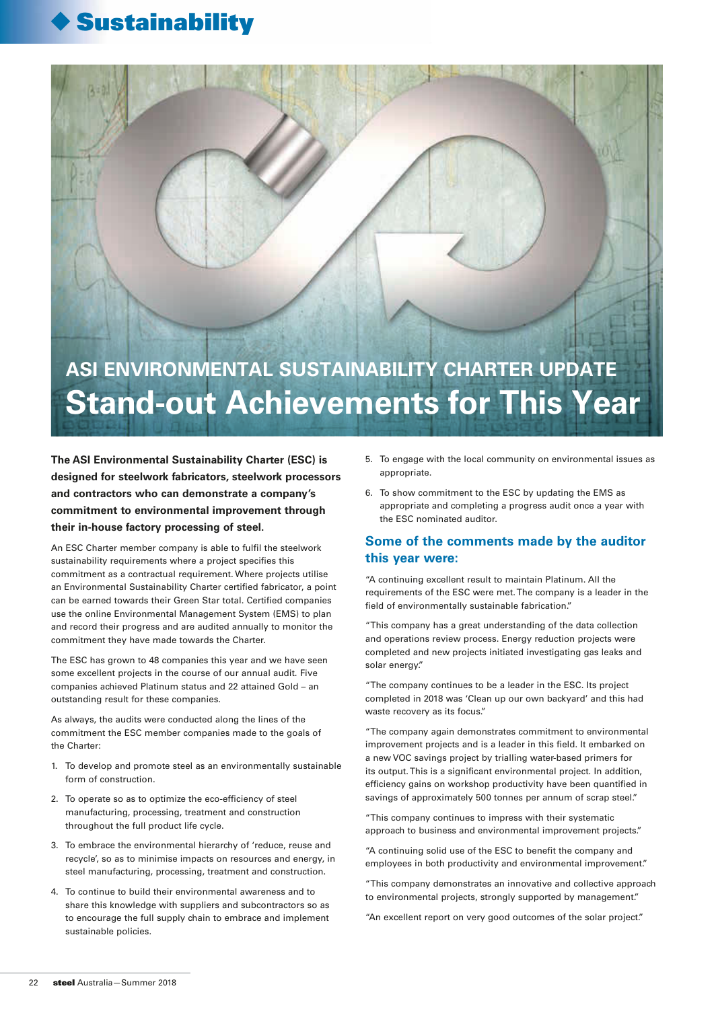## **Sustainability**

# **ASI ENVIRONMENTAL SUSTAINABILITY CHARTER UPDATE Stand-out Achievements for This Year**

**The ASI Environmental Sustainability Charter (ESC) is designed for steelwork fabricators, steelwork processors and contractors who can demonstrate a company's commitment to environmental improvement through their in-house factory processing of steel.** 

An ESC Charter member company is able to fulfil the steelwork sustainability requirements where a project specifies this commitment as a contractual requirement. Where projects utilise an Environmental Sustainability Charter certified fabricator, a point can be earned towards their Green Star total. Certified companies use the online Environmental Management System (EMS) to plan and record their progress and are audited annually to monitor the commitment they have made towards the Charter.

The ESC has grown to 48 companies this year and we have seen some excellent projects in the course of our annual audit. Five companies achieved Platinum status and 22 attained Gold – an outstanding result for these companies.

As always, the audits were conducted along the lines of the commitment the ESC member companies made to the goals of the Charter:

- 1. To develop and promote steel as an environmentally sustainable form of construction.
- 2. To operate so as to optimize the eco-efficiency of steel manufacturing, processing, treatment and construction throughout the full product life cycle.
- 3. To embrace the environmental hierarchy of 'reduce, reuse and recycle', so as to minimise impacts on resources and energy, in steel manufacturing, processing, treatment and construction.
- 4. To continue to build their environmental awareness and to share this knowledge with suppliers and subcontractors so as to encourage the full supply chain to embrace and implement sustainable policies.
- 5. To engage with the local community on environmental issues as appropriate.
- 6. To show commitment to the ESC by updating the EMS as appropriate and completing a progress audit once a year with the ESC nominated auditor.

## **Some of the comments made by the auditor this year were:**

"A continuing excellent result to maintain Platinum. All the requirements of the ESC were met. The company is a leader in the field of environmentally sustainable fabrication."

"This company has a great understanding of the data collection and operations review process. Energy reduction projects were completed and new projects initiated investigating gas leaks and solar energy."

"The company continues to be a leader in the ESC. Its project completed in 2018 was 'Clean up our own backyard' and this had waste recovery as its focus."

"The company again demonstrates commitment to environmental improvement projects and is a leader in this field. It embarked on a new VOC savings project by trialling water-based primers for its output. This is a significant environmental project. In addition, efficiency gains on workshop productivity have been quantified in savings of approximately 500 tonnes per annum of scrap steel."

"This company continues to impress with their systematic approach to business and environmental improvement projects."

"A continuing solid use of the ESC to benefit the company and employees in both productivity and environmental improvement."

"This company demonstrates an innovative and collective approach to environmental projects, strongly supported by management."

"An excellent report on very good outcomes of the solar project."